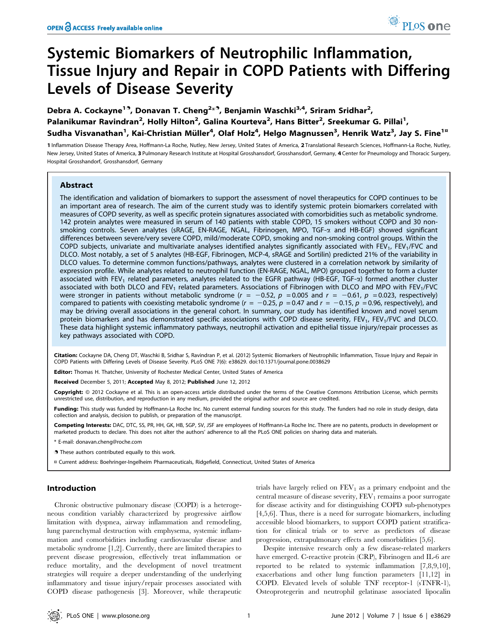# Systemic Biomarkers of Neutrophilic Inflammation, Tissue Injury and Repair in COPD Patients with Differing Levels of Disease Severity

Debra A. Cockayne<sup>19</sup>, Donavan T. Cheng<sup>2<sub>\*</sub>9</sup>, Benjamin Waschki<sup>3,4</sup>, Sriram Sridhar<sup>2</sup>, Palanikumar Ravindran<sup>2</sup>, Holly Hilton<sup>2</sup>, Galina Kourteva<sup>2</sup>, Hans Bitter<sup>2</sup>, Sreekumar G. Pillai<sup>1</sup>, Sudha Visvanathan<sup>1</sup>, Kai-Christian Müller<sup>4</sup>, Olaf Holz<sup>4</sup>, Helgo Magnussen<sup>3</sup>, Henrik Watz<sup>3</sup>, Jay S. Fine<sup>1¤</sup>

1 Inflammation Disease Therapy Area, Hoffmann-La Roche, Nutley, New Jersey, United States of America, 2 Translational Research Sciences, Hoffmann-La Roche, Nutley, New Jersey, United States of America, 3 Pulmonary Research Institute at Hospital Grosshansdorf, Grosshansdorf, Germany, 4 Center for Pneumology and Thoracic Surgery, Hospital Grosshandorf, Grosshansdorf, Germany

## Abstract

The identification and validation of biomarkers to support the assessment of novel therapeutics for COPD continues to be an important area of research. The aim of the current study was to identify systemic protein biomarkers correlated with measures of COPD severity, as well as specific protein signatures associated with comorbidities such as metabolic syndrome. 142 protein analytes were measured in serum of 140 patients with stable COPD, 15 smokers without COPD and 30 nonsmoking controls. Seven analytes (sRAGE, EN-RAGE, NGAL, Fibrinogen, MPO, TGF-a and HB-EGF) showed significant differences between severe/very severe COPD, mild/moderate COPD, smoking and non-smoking control groups. Within the COPD subjects, univariate and multivariate analyses identified analytes significantly associated with FEV<sub>1</sub>, FEV<sub>1</sub>/FVC and DLCO. Most notably, a set of 5 analytes (HB-EGF, Fibrinogen, MCP-4, sRAGE and Sortilin) predicted 21% of the variability in DLCO values. To determine common functions/pathways, analytes were clustered in a correlation network by similarity of expression profile. While analytes related to neutrophil function (EN-RAGE, NGAL, MPO) grouped together to form a cluster associated with FEV<sub>1</sub> related parameters, analytes related to the EGFR pathway (HB-EGF, TGF- $\alpha$ ) formed another cluster associated with both DLCO and FEV<sub>1</sub> related parameters. Associations of Fibrinogen with DLCO and MPO with FEV<sub>1</sub>/FVC were stronger in patients without metabolic syndrome ( $r = -0.52$ ,  $p = 0.005$  and  $r = -0.61$ ,  $p = 0.023$ , respectively) compared to patients with coexisting metabolic syndrome ( $r = -0.25$ ,  $p = 0.47$  and  $r = -0.15$ ,  $p = 0.96$ , respectively), and may be driving overall associations in the general cohort. In summary, our study has identified known and novel serum protein biomarkers and has demonstrated specific associations with COPD disease severity, FEV<sub>1</sub>, FEV<sub>1</sub>/FVC and DLCO. These data highlight systemic inflammatory pathways, neutrophil activation and epithelial tissue injury/repair processes as key pathways associated with COPD.

Citation: Cockayne DA, Cheng DT, Waschki B, Sridhar S, Ravindran P, et al. (2012) Systemic Biomarkers of Neutrophilic Inflammation, Tissue Injury and Repair in COPD Patients with Differing Levels of Disease Severity. PLoS ONE 7(6): e38629. doi:10.1371/journal.pone.0038629

Editor: Thomas H. Thatcher, University of Rochester Medical Center, United States of America

Received December 5, 2011; Accepted May 8, 2012; Published June 12, 2012

Copyright: © 2012 Cockayne et al. This is an open-access article distributed under the terms of the Creative Commons Attribution License, which permits unrestricted use, distribution, and reproduction in any medium, provided the original author and source are credited.

Funding: This study was funded by Hoffmann-La Roche Inc. No current external funding sources for this study. The funders had no role in study design, data collection and analysis, decision to publish, or preparation of the manuscript.

Competing Interests: DAC, DTC, SS, PR, HH, GK, HB, SGP, SV, JSF are employees of Hoffmann-La Roche Inc. There are no patents, products in development or marketed products to declare. This does not alter the authors' adherence to all the PLoS ONE policies on sharing data and materials.

E-mail: donavan.cheng@roche.com

. These authors contributed equally to this work.

¤ Current address: Boehringer-Ingelheim Pharmaceuticals, Ridgefield, Connecticut, United States of America

# Introduction

Chronic obstructive pulmonary disease (COPD) is a heterogeneous condition variably characterized by progressive airflow limitation with dyspnea, airway inflammation and remodeling, lung parenchymal destruction with emphysema, systemic inflammation and comorbidities including cardiovascular disease and metabolic syndrome [1,2]. Currently, there are limited therapies to prevent disease progression, effectively treat inflammation or reduce mortality, and the development of novel treatment strategies will require a deeper understanding of the underlying inflammatory and tissue injury/repair processes associated with COPD disease pathogenesis [3]. Moreover, while therapeutic

trials have largely relied on  $FEV<sub>1</sub>$  as a primary endpoint and the central measure of disease severity,  $FEV<sub>1</sub>$  remains a poor surrogate for disease activity and for distinguishing COPD sub-phenotypes [4,5,6]. Thus, there is a need for surrogate biomarkers, including accessible blood biomarkers, to support COPD patient stratification for clinical trials or to serve as predictors of disease progression, extrapulmonary effects and comorbidities [5,6].

Despite intensive research only a few disease-related markers have emerged. C-reactive protein (CRP), Fibrinogen and IL-6 are reported to be related to systemic inflammation [7,8,9,10], exacerbations and other lung function parameters [11,12] in COPD. Elevated levels of soluble TNF receptor-1 (sTNFR-1), Osteoprotegerin and neutrophil gelatinase associated lipocalin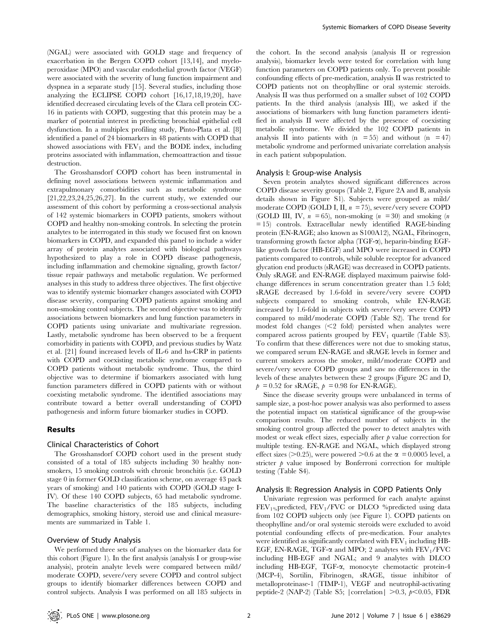(NGAL) were associated with GOLD stage and frequency of exacerbation in the Bergen COPD cohort [13,14], and myeloperoxidase (MPO) and vascular endothelial growth factor (VEGF) were associated with the severity of lung function impairment and dyspnea in a separate study [15]. Several studies, including those analyzing the ECLIPSE COPD cohort [16,17,18,19,20], have identified decreased circulating levels of the Clara cell protein CC-16 in patients with COPD, suggesting that this protein may be a marker of potential interest in predicting bronchial epithelial cell dysfunction. In a multiplex profiling study, Pinto-Plata et al. [8] identified a panel of 24 biomarkers in 48 patients with COPD that showed associations with  $FEV<sub>1</sub>$  and the BODE index, including proteins associated with inflammation, chemoattraction and tissue destruction.

The Grosshansdorf COPD cohort has been instrumental in defining novel associations between systemic inflammation and extrapulmonary comorbidities such as metabolic syndrome [21,22,23,24,25,26,27]. In the current study, we extended our assessment of this cohort by performing a cross-sectional analysis of 142 systemic biomarkers in COPD patients, smokers without COPD and healthy non-smoking controls. In selecting the protein analytes to be interrogated in this study we focused first on known biomarkers in COPD, and expanded this panel to include a wider array of protein analytes associated with biological pathways hypothesized to play a role in COPD disease pathogenesis, including inflammation and chemokine signaling, growth factor/ tissue repair pathways and metabolic regulation. We performed analyses in this study to address three objectives. The first objective was to identify systemic biomarker changes associated with COPD disease severity, comparing COPD patients against smoking and non-smoking control subjects. The second objective was to identify associations between biomarkers and lung function parameters in COPD patients using univariate and multivariate regression. Lastly, metabolic syndrome has been observed to be a frequent comorbidity in patients with COPD, and previous studies by Watz et al. [21] found increased levels of IL-6 and hs-CRP in patients with COPD and coexisting metabolic syndrome compared to COPD patients without metabolic syndrome. Thus, the third objective was to determine if biomarkers associated with lung function parameters differed in COPD patients with or without coexisting metabolic syndrome. The identified associations may contribute toward a better overall understanding of COPD pathogenesis and inform future biomarker studies in COPD.

## Results

## Clinical Characteristics of Cohort

The Grosshansdorf COPD cohort used in the present study consisted of a total of 185 subjects including 30 healthy nonsmokers, 15 smoking controls with chronic bronchitis (i.e. GOLD stage 0 in former GOLD classification scheme, on average 43 pack years of smoking) and 140 patients with COPD (GOLD stage I-IV). Of these 140 COPD subjects, 65 had metabolic syndrome. The baseline characteristics of the 185 subjects, including demographics, smoking history, steroid use and clinical measurements are summarized in Table 1.

## Overview of Study Analysis

We performed three sets of analyses on the biomarker data for this cohort (Figure 1). In the first analysis (analysis I or group-wise analysis), protein analyte levels were compared between mild/ moderate COPD, severe/very severe COPD and control subject groups to identify biomarker differences between COPD and control subjects. Analysis I was performed on all 185 subjects in

the cohort. In the second analysis (analysis II or regression analysis), biomarker levels were tested for correlation with lung function parameters on COPD patients only. To prevent possible confounding effects of pre-medication, analysis II was restricted to COPD patients not on theophylline or oral systemic steroids. Analysis II was thus performed on a smaller subset of 102 COPD patients. In the third analysis (analysis III), we asked if the associations of biomarkers with lung function parameters identified in analysis II were affected by the presence of coexisting metabolic syndrome. We divided the 102 COPD patients in analysis II into patients with  $(n = 55)$  and without  $(n = 47)$ metabolic syndrome and performed univariate correlation analysis in each patient subpopulation.

#### Analysis I: Group-wise Analysis

Seven protein analytes showed significant differences across COPD disease severity groups (Table 2, Figure 2A and B, analysis details shown in Figure S1). Subjects were grouped as mild/ moderate COPD (GOLD I, II,  $n = 75$ ), severe/very severe COPD (GOLD III, IV,  $n = 65$ ), non-smoking  $(n = 30)$  and smoking  $(n = 10)$ = 15) controls. Extracellular newly identified RAGE-binding protein (EN-RAGE; also known as S100A12), NGAL, Fibrinogen, transforming growth factor alpha (TGF-a), heparin-binding EGFlike growth factor (HB-EGF) and MPO were increased in COPD patients compared to controls, while soluble receptor for advanced glycation end products (sRAGE) was decreased in COPD patients. Only sRAGE and EN-RAGE displayed maximum pairwise foldchange differences in serum concentration greater than 1.5 fold; sRAGE decreased by 1.6-fold in severe/very severe COPD subjects compared to smoking controls, while EN-RAGE increased by 1.6-fold in subjects with severe/very severe COPD compared to mild/moderate COPD (Table S2). The trend for modest fold changes  $\leq 2$  fold) persisted when analytes were compared across patients grouped by  $FEV<sub>1</sub>$  quartile (Table S3). To confirm that these differences were not due to smoking status, we compared serum EN-RAGE and sRAGE levels in former and current smokers across the smoker, mild/moderate COPD and severe/very severe COPD groups and saw no differences in the levels of these analytes between these 2 groups (Figure 2C and D,  $p = 0.52$  for sRAGE,  $p = 0.98$  for EN-RAGE).

Since the disease severity groups were unbalanced in terms of sample size, a post-hoc power analysis was also performed to assess the potential impact on statistical significance of the group-wise comparison results. The reduced number of subjects in the smoking control group affected the power to detect analytes with modest or weak effect sizes, especially after  $\phi$  value correction for multiple testing. EN-RAGE and NGAL, which displayed strong effect sizes ( $> 0.25$ ), were powered  $> 0.6$  at the  $\alpha = 0.0005$  level, a stricter  $\phi$  value imposed by Bonferroni correction for multiple testing (Table S4).

## Analysis II: Regression Analysis in COPD Patients Only

Univariate regression was performed for each analyte against  $FEV<sub>1%</sub>predicted, FEV<sub>1</sub>/FVC$  or DLCO %predicted using data from 102 COPD subjects only (see Figure 1). COPD patients on theophylline and/or oral systemic steroids were excluded to avoid potential confounding effects of pre-medication. Four analytes were identified as significantly correlated with  $FEV<sub>1</sub>$  including  $HB-$ EGF, EN-RAGE, TGF- $\alpha$  and MPO; 2 analytes with FEV<sub>1</sub>/FVC including HB-EGF and NGAL; and 9 analytes with DLCO including HB-EGF, TGF-a, monocyte chemotactic protein-4 (MCP-4), Sortilin, Fibrinogen, sRAGE, tissue inhibitor of metalloproteinase-1 (TIMP-1), VEGF and neutrophil-activating peptide-2 (NAP-2) (Table S5; | correlation |  $>0.3$ ,  $p<0.05$ , FDR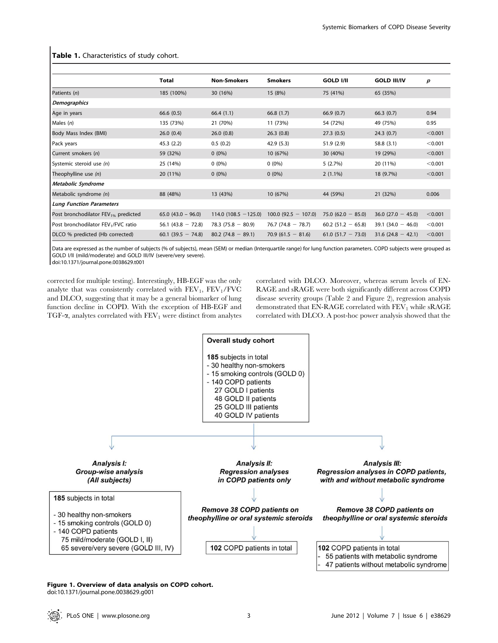|                                                 | <b>Total</b>         | <b>Non-Smokers</b>     | <b>Smokers</b>         | <b>GOLD I/II</b>     | <b>GOLD III/IV</b>   | p       |
|-------------------------------------------------|----------------------|------------------------|------------------------|----------------------|----------------------|---------|
| Patients (n)                                    | 185 (100%)           | 30 (16%)               | 15 (8%)                | 75 (41%)             | 65 (35%)             |         |
| <b>Demographics</b>                             |                      |                        |                        |                      |                      |         |
| Age in years                                    | 66.6(0.5)            | 66.4(1.1)              | 66.8(1.7)              | 66.9(0.7)            | 66.3(0.7)            | 0.94    |
| Males $(n)$                                     | 135 (73%)            | 21 (70%)               | 11 (73%)               | 54 (72%)             | 49 (75%)             | 0.95    |
| Body Mass Index (BMI)                           | 26.0(0.4)            | 26.0(0.8)              | 26.3(0.8)              | 27.3(0.5)            | 24.3(0.7)            | < 0.001 |
| Pack years                                      | 45.3(2.2)            | 0.5(0.2)               | 42.9(5.3)              | 51.9(2.9)            | 58.8 (3.1)           | < 0.001 |
| Current smokers (n)                             | 59 (32%)             | $0(0\%)$               | 10 (67%)               | 30 (40%)             | 19 (29%)             | < 0.001 |
| Systemic steroid use (n)                        | 25 (14%)             | $0(0\%)$               | $0(0\%)$               | 5(2.7%)              | 20 (11%)             | < 0.001 |
| Theophylline use (n)                            | 20 (11%)             | $0(0\%)$               | $0(0\%)$               | $2(1.1\%)$           | 18 (9.7%)            | < 0.001 |
| Metabolic Syndrome                              |                      |                        |                        |                      |                      |         |
| Metabolic syndrome (n)                          | 88 (48%)             | 13 (43%)               | 10 (67%)               | 44 (59%)             | 21 (32%)             | 0.006   |
| <b>Lung Function Parameters</b>                 |                      |                        |                        |                      |                      |         |
| Post bronchodilator FEV <sub>1%</sub> predicted | $65.0$ (43.0 – 96.0) | $114.0(108.5 - 125.0)$ | $100.0$ (92.5 - 107.0) | 75.0 $(62.0 - 85.0)$ | $36.0$ (27.0 - 45.0) | < 0.001 |
| Post bronchodilator FEV <sub>1</sub> /FVC ratio | 56.1 $(43.8 - 72.8)$ | $78.3(75.8 - 80.9)$    | $76.7(74.8 - 78.7)$    | $60.2$ (51.2 - 65.8) | $39.1(34.0 - 46.0)$  | < 0.001 |
| DLCO % predicted (Hb corrected)                 | $60.1(39.5 - 74.8)$  | $80.2(74.8 - 89.1)$    | $70.9(61.5 - 81.6)$    | $61.0$ (51.7 - 73.0) | $31.6(24.8 - 42.1)$  | < 0.001 |

## Table 1. Characteristics of study cohort.

Data are expressed as the number of subjects (% of subjects), mean (SEM) or median (Interquartile range) for lung function parameters. COPD subjects were grouped as GOLD I/II (mild/moderate) and GOLD III/IV (severe/very severe).

doi:10.1371/journal.pone.0038629.t001

corrected for multiple testing). Interestingly, HB-EGF was the only analyte that was consistently correlated with  $FEV<sub>1</sub>$ ,  $FEV<sub>1</sub>/FVC$ and DLCO, suggesting that it may be a general biomarker of lung function decline in COPD. With the exception of HB-EGF and TGF- $\alpha$ , analytes correlated with FEV<sub>1</sub> were distinct from analytes correlated with DLCO. Moreover, whereas serum levels of EN-RAGE and sRAGE were both significantly different across COPD disease severity groups (Table 2 and Figure 2), regression analysis demonstrated that EN-RAGE correlated with  $FEV<sub>1</sub>$  while sRAGE correlated with DLCO. A post-hoc power analysis showed that the



#### Figure 1. Overview of data analysis on COPD cohort. doi:10.1371/journal.pone.0038629.g001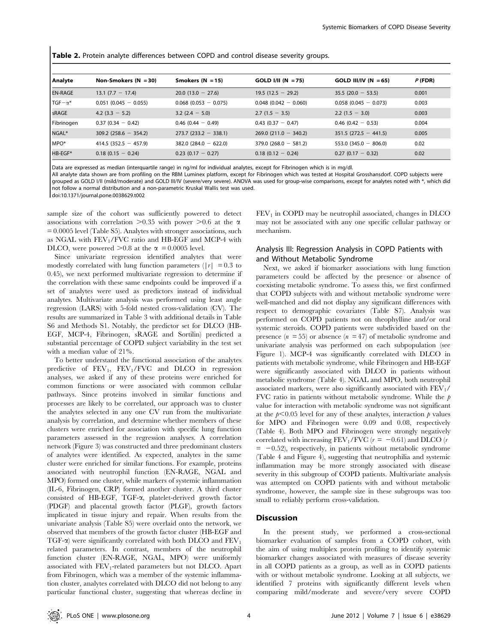Table 2. Protein analyte differences between COPD and control disease severity groups.

| Analyte          | Non-Smokers $(N = 30)$  | Smokers $(N = 15)$      | $GOLD I/II (N = 75)$   | GOLD III/IV (N = 65)    | $P$ (FDR) |
|------------------|-------------------------|-------------------------|------------------------|-------------------------|-----------|
| <b>EN-RAGE</b>   | $13.1 (7.7 - 17.4)$     | $20.0(13.0 - 27.6)$     | $19.5(12.5 - 29.2)$    | $35.5(20.0 - 53.5)$     | 0.001     |
| $TGF - \alpha^*$ | $0.051$ (0.045 - 0.055) | $0.068$ (0.053 - 0.075) | $0.048(0.042 - 0.060)$ | $0.058(0.045 - 0.073)$  | 0.003     |
| sRAGE            | $4.2(3.3 - 5.2)$        | $3.2(2.4 - 5.0)$        | $2.7(1.5 - 3.5)$       | $2.2(1.5 - 3.0)$        | 0.003     |
| Fibrinogen       | $0.37(0.34 - 0.42)$     | $0.46(0.44 - 0.49)$     | $0.43(0.37 - 0.47)$    | $0.46(0.42 - 0.53)$     | 0.004     |
| NGAL*            | $309.2$ (258.6 - 354.2) | $273.7(233.2 - 338.1)$  | $269.0(211.0 - 340.2)$ | $351.5(272.5 - 441.5)$  | 0.005     |
| MPO <sup>*</sup> | $414.5(352.5 - 457.9)$  | $382.0(284.0 - 622.0)$  | $379.0(268.0 - 581.2)$ | 553.0 $(345.0 - 806.0)$ | 0.02      |
| HB-EGF*          | $0.18(0.15 - 0.24)$     | $0.23$ (0.17 - 0.27)    | $0.18(0.12 - 0.24)$    | $0.27(0.17 - 0.32)$     | 0.02      |

Data are expressed as median (interquartile range) in ng/ml for individual analytes, except for Fibrinogen which is in mg/dl.

All analyte data shown are from profiling on the RBM Luminex platform, except for Fibrinogen which was tested at Hospital Grosshansdorf. COPD subjects were grouped as GOLD I/II (mild/moderate) and GOLD III/IV (severe/very severe). ANOVA was used for group-wise comparisons, except for analytes noted with \*, which did not follow a normal distribution and a non-parametric Kruskal Wallis test was used.

doi:10.1371/journal.pone.0038629.t002

sample size of the cohort was sufficiently powered to detect associations with correlation  $>0.35$  with power  $>0.6$  at the  $\alpha$ = 0.0005 level (Table S5). Analytes with stronger associations, such as NGAL with  $FEV_1/FVC$  ratio and HB-EGF and MCP-4 with DLCO, were powered  $>0.8$  at the  $\alpha$  = 0.0005 level.

Since univariate regression identified analytes that were modestly correlated with lung function parameters ( $|r| = 0.3$  to 0.45), we next performed multivariate regression to determine if the correlation with these same endpoints could be improved if a set of analytes were used as predictors instead of individual analytes. Multivariate analysis was performed using least angle regression (LARS) with 5-fold nested cross-validation (CV). The results are summarized in Table 3 with additional details in Table S6 and Methods S1. Notably, the predictor set for DLCO (HB-EGF, MCP-4, Fibrinogen, sRAGE and Sortilin) predicted a substantial percentage of COPD subject variability in the test set with a median value of 21%.

To better understand the functional association of the analytes predictive of  $FEV_1$ ,  $FEV_1/FVC$  and DLCO in regression analyses, we asked if any of these proteins were enriched for common functions or were associated with common cellular pathways. Since proteins involved in similar functions and processes are likely to be correlated, our approach was to cluster the analytes selected in any one CV run from the multivariate analysis by correlation, and determine whether members of these clusters were enriched for association with specific lung function parameters assessed in the regression analyses. A correlation network (Figure 3) was constructed and three predominant clusters of analytes were identified. As expected, analytes in the same cluster were enriched for similar functions. For example, proteins associated with neutrophil function (EN-RAGE, NGAL and MPO) formed one cluster, while markers of systemic inflammation (IL-6, Fibrinogen, CRP) formed another cluster. A third cluster consisted of HB-EGF, TGF-a, platelet-derived growth factor (PDGF) and placental growth factor (PLGF), growth factors implicated in tissue injury and repair. When results from the univariate analysis (Table S5) were overlaid onto the network, we observed that members of the growth factor cluster (HB-EGF and TGF- $\alpha$ ) were significantly correlated with both DLCO and FEV<sub>1</sub> related parameters. In contrast, members of the neutrophil function cluster (EN-RAGE, NGAL, MPO) were uniformly associated with  $FEV_1$ -related parameters but not DLCO. Apart from Fibrinogen, which was a member of the systemic inflammation cluster, analytes correlated with DLCO did not belong to any particular functional cluster, suggesting that whereas decline in  $FEV<sub>1</sub>$  in COPD may be neutrophil associated, changes in DLCO may not be associated with any one specific cellular pathway or mechanism.

# Analysis III: Regression Analysis in COPD Patients with and Without Metabolic Syndrome

Next, we asked if biomarker associations with lung function parameters could be affected by the presence or absence of coexisting metabolic syndrome. To assess this, we first confirmed that COPD subjects with and without metabolic syndrome were well-matched and did not display any significant differences with respect to demographic covariates (Table S7). Analysis was performed on COPD patients not on theophylline and/or oral systemic steroids. COPD patients were subdivided based on the presence  $(n = 55)$  or absence  $(n = 47)$  of metabolic syndrome and univariate analysis was performed on each subpopulation (see Figure 1). MCP-4 was significantly correlated with DLCO in patients with metabolic syndrome, while Fibrinogen and HB-EGF were significantly associated with DLCO in patients without metabolic syndrome (Table 4). NGAL and MPO, both neutrophil associated markers, were also significantly associated with  $FEV<sub>1</sub>/$ FVC ratio in patients without metabolic syndrome. While the  $p$ value for interaction with metabolic syndrome was not significant at the  $p<0.05$  level for any of these analytes, interaction p values for MPO and Fibrinogen were 0.09 and 0.08, respectively (Table 4). Both MPO and Fibrinogen were strongly negatively correlated with increasing  $FEV_1/FVC$  ( $r = -0.61$ ) and DLCO (r  $= -0.52$ ), respectively, in patients without metabolic syndrome (Table 4 and Figure 4), suggesting that neutrophilia and systemic inflammation may be more strongly associated with disease severity in this subgroup of COPD patients. Multivariate analysis was attempted on COPD patients with and without metabolic syndrome, however, the sample size in these subgroups was too small to reliably perform cross-validation.

## **Discussion**

In the present study, we performed a cross-sectional biomarker evaluation of samples from a COPD cohort, with the aim of using multiplex protein profiling to identify systemic biomarker changes associated with measures of disease severity in all COPD patients as a group, as well as in COPD patients with or without metabolic syndrome. Looking at all subjects, we identified 7 proteins with significantly different levels when comparing mild/moderate and severe/very severe COPD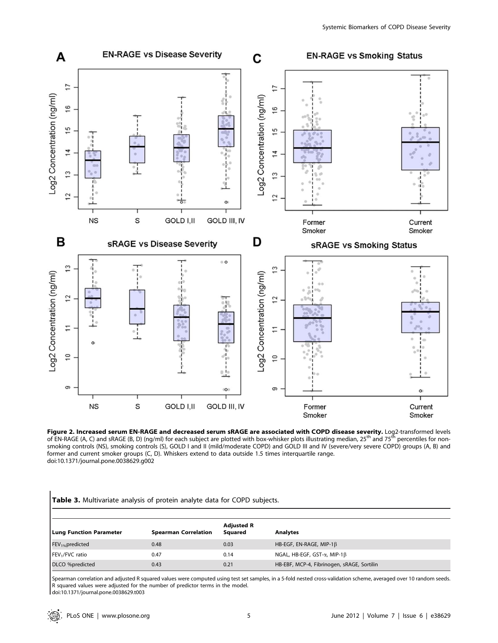

**Figure 2. Increased serum EN-RAGE and decreased serum sRAGE are associated with COPD disease severity.** Log2-transformed levels<br>of EN-RAGE (A, C) and sRAGE (B, D) (ng/ml) for each subject are plotted with box-whisker plot smoking controls (NS), smoking controls (S), GOLD I and II (mild/moderate COPD) and GOLD III and IV (severe/very severe COPD) groups (A, B) and former and current smoker groups (C, D). Whiskers extend to data outside 1.5 times interquartile range. doi:10.1371/journal.pone.0038629.g002

|  |  | Table 3. Multivariate analysis of protein analyte data for COPD subjects. |  |  |  |  |  |  |  |  |
|--|--|---------------------------------------------------------------------------|--|--|--|--|--|--|--|--|
|--|--|---------------------------------------------------------------------------|--|--|--|--|--|--|--|--|

| <b>Lung Function Parameter</b> | <b>Spearman Correlation</b> | <b>Adjusted R</b><br>Squared | <b>Analytes</b>                             |
|--------------------------------|-----------------------------|------------------------------|---------------------------------------------|
| $FEV1%$ predicted              | 0.48                        | 0.03                         | HB-EGF, EN-RAGE, MIP-1 $\beta$              |
| $FEV1/FVC$ ratio               | 0.47                        | 0.14                         | NGAL, HB-EGF, GST- $\alpha$ , MIP-1 $\beta$ |
| DLCO %predicted                | 0.43                        | 0.21                         | HB-EBF, MCP-4, Fibrinogen, sRAGE, Sortilin  |

Spearman correlation and adjusted R squared values were computed using test set samples, in a 5-fold nested cross-validation scheme, averaged over 10 random seeds. R squared values were adjusted for the number of predictor terms in the model.

doi:10.1371/journal.pone.0038629.t003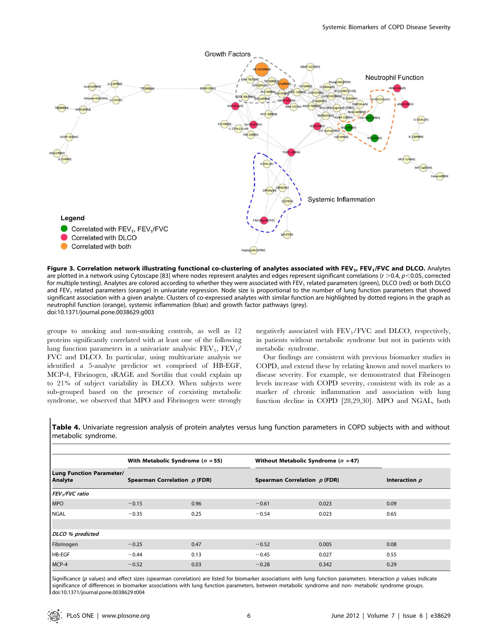

Figure 3. Correlation network illustrating functional co-clustering of analytes associated with FEV<sub>1</sub>, FEV<sub>1</sub>/FVC and DLCO. Analytes are plotted in a network using Cytoscape [83] where nodes represent analytes and edges represent significant correlations ( $r > 0.4$ ,  $p < 0.05$ , corrected for multiple testing). Analytes are colored according to whether they were associated with FEV<sub>1</sub> related parameters (green), DLCO (red) or both DLCO and FEV<sub>1</sub> related parameters (orange) in univariate regression. Node size is proportional to the number of lung function parameters that showed significant association with a given analyte. Clusters of co-expressed analytes with similar function are highlighted by dotted regions in the graph as neutrophil function (orange), systemic inflammation (blue) and growth factor pathways (grey). doi:10.1371/journal.pone.0038629.g003

groups to smoking and non-smoking controls, as well as 12 proteins significantly correlated with at least one of the following lung function parameters in a univariate analysis:  $FEV<sub>1</sub>$ ,  $FEV<sub>1</sub>$ / FVC and DLCO. In particular, using multivariate analysis we identified a 5-analyte predictor set comprised of HB-EGF, MCP-4, Fibrinogen, sRAGE and Sortilin that could explain up to 21% of subject variability in DLCO. When subjects were sub-grouped based on the presence of coexisting metabolic syndrome, we observed that MPO and Fibrinogen were strongly negatively associated with  $FEV<sub>1</sub>/FVC$  and DLCO, respectively, in patients without metabolic syndrome but not in patients with metabolic syndrome.

Our findings are consistent with previous biomarker studies in COPD, and extend these by relating known and novel markers to disease severity. For example, we demonstrated that Fibrinogen levels increase with COPD severity, consistent with its role as a marker of chronic inflammation and association with lung function decline in COPD [28,29,30]. MPO and NGAL, both

Table 4. Univariate regression analysis of protein analytes versus lung function parameters in COPD subjects with and without metabolic syndrome.

|                                            | With Metabolic Syndrome ( $n = 55$ ) |      | Without Metabolic Syndrome ( $n = 47$ ) |       |                 |  |
|--------------------------------------------|--------------------------------------|------|-----------------------------------------|-------|-----------------|--|
| <b>Lung Function Parameter/</b><br>Analyte | Spearman Correlation $p$ (FDR)       |      | Spearman Correlation $p$ (FDR)          |       | Interaction $p$ |  |
| FEV <sub>1</sub> /FVC ratio                |                                      |      |                                         |       |                 |  |
| <b>MPO</b>                                 | $-0.15$                              | 0.96 | $-0.61$                                 | 0.023 | 0.09            |  |
| <b>NGAL</b>                                | $-0.35$                              | 0.25 | $-0.54$                                 | 0.023 | 0.65            |  |
|                                            |                                      |      |                                         |       |                 |  |
| DLCO % predicted                           |                                      |      |                                         |       |                 |  |
| Fibrinogen                                 | $-0.25$                              | 0.47 | $-0.52$                                 | 0.005 | 0.08            |  |
| HB-EGF                                     | $-0.44$                              | 0.13 | $-0.45$                                 | 0.027 | 0.55            |  |
| MCP-4                                      | $-0.52$                              | 0.03 | $-0.28$                                 | 0.342 | 0.29            |  |

Significance (p values) and effect sizes (spearman correlation) are listed for biomarker associations with lung function parameters. Interaction p values indicate significance of differences in biomarker associations with lung function parameters, between metabolic syndrome and non- metabolic syndrome groups. doi:10.1371/journal.pone.0038629.t004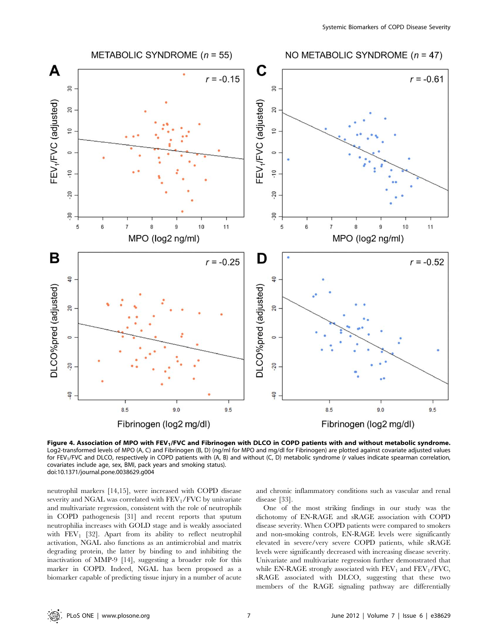

Figure 4. Association of MPO with FEV<sub>1</sub>/FVC and Fibrinogen with DLCO in COPD patients with and without metabolic syndrome. Log2-transformed levels of MPO (A, C) and Fibrinogen (B, D) (ng/ml for MPO and mg/dl for Fibrinogen) are plotted against covariate adjusted values for FEV<sub>1</sub>/FVC and DLCO, respectively in COPD patients with (A, B) and without (C, D) metabolic syndrome (r values indicate spearman correlation, covariates include age, sex, BMI, pack years and smoking status). doi:10.1371/journal.pone.0038629.g004

neutrophil markers [14,15], were increased with COPD disease severity and NGAL was correlated with  $FEV<sub>1</sub>/FVC$  by univariate and multivariate regression, consistent with the role of neutrophils in COPD pathogenesis [31] and recent reports that sputum neutrophilia increases with GOLD stage and is weakly associated with  $FEV<sub>1</sub>$  [32]. Apart from its ability to reflect neutrophil activation, NGAL also functions as an antimicrobial and matrix degrading protein, the latter by binding to and inhibiting the inactivation of MMP-9 [14], suggesting a broader role for this marker in COPD. Indeed, NGAL has been proposed as a biomarker capable of predicting tissue injury in a number of acute and chronic inflammatory conditions such as vascular and renal disease [33].

One of the most striking findings in our study was the dichotomy of EN-RAGE and sRAGE association with COPD disease severity. When COPD patients were compared to smokers and non-smoking controls, EN-RAGE levels were significantly elevated in severe/very severe COPD patients, while sRAGE levels were significantly decreased with increasing disease severity. Univariate and multivariate regression further demonstrated that while EN-RAGE strongly associated with  $FEV<sub>1</sub>$  and  $FEV<sub>1</sub>/FVC$ , sRAGE associated with DLCO, suggesting that these two members of the RAGE signaling pathway are differentially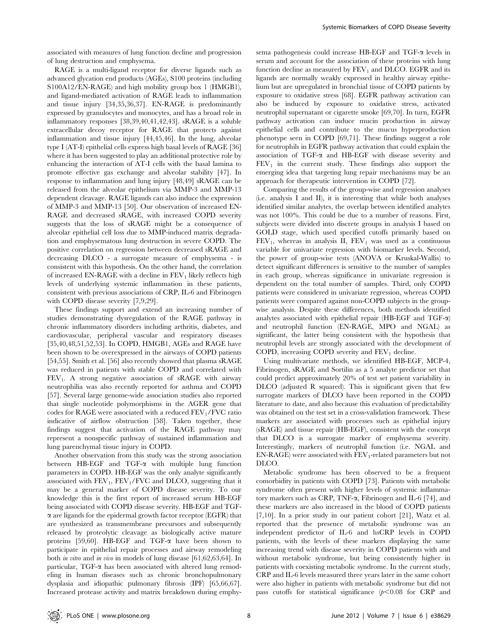associated with measures of lung function decline and progression of lung destruction and emphysema.

RAGE is a multi-ligand receptor for diverse ligands such as advanced glycation end products (AGEs), S100 proteins (including S100A12/EN-RAGE) and high mobility group box 1 (HMGB1), and ligand-mediated activation of RAGE leads to inflammation and tissue injury [34,35,36,37]. EN-RAGE is predominantly expressed by granulocytes and monocytes, and has a broad role in inflammatory responses [38,39,40,41,42,43]. sRAGE is a soluble extracellular decoy receptor for RAGE that protects against inflammation and tissue injury [44,45,46]. In the lung, alveolar type I (AT-I) epithelial cells express high basal levels of RAGE [36] where it has been suggested to play an additional protective role by enhancing the interaction of AT-I cells with the basal lamina to promote effective gas exchange and alveolar stability [47]. In response to inflammation and lung injury [48,49] sRAGE can be released from the alveolar epithelium via MMP-3 and MMP-13 dependent cleavage. RAGE ligands can also induce the expression of MMP-3 and MMP-13 [50]. Our observation of increased EN-RAGE and decreased sRAGE, with increased COPD severity suggests that the loss of sRAGE might be a consequence of alveolar epithelial cell loss due to MMP-induced matrix degradation and emphysematous lung destruction in severe COPD. The positive correlation on regression between decreased sRAGE and decreasing DLCO - a surrogate measure of emphysema - is consistent with this hypothesis. On the other hand, the correlation of increased EN-RAGE with a decline in  $FEV<sub>1</sub>$  likely reflects high levels of underlying systemic inflammation in these patients, consistent with previous associations of CRP, IL-6 and Fibrinogen with COPD disease severity [7,9,29].

These findings support and extend an increasing number of studies demonstrating dysregulation of the RAGE pathway in chronic inflammatory disorders including arthritis, diabetes, and cardiovascular, peripheral vascular and respiratory diseases [35,40,48,51,52,53]. In COPD, HMGB1, AGEs and RAGE have been shown to be overexpressed in the airways of COPD patients [54,55]. Smith et al. [56] also recently showed that plasma sRAGE was reduced in patients with stable COPD and correlated with  $FEV<sub>1</sub>$ . A strong negative association of sRAGE with airway neutrophilia was also recently reported for asthma and COPD [57]. Several large genome-wide association studies also reported that single nucleotide polymorphisms in the AGER gene that codes for RAGE were associated with a reduced  $\text{FEV}_1/\text{FVC}$  ratio indicative of airflow obstruction [58]. Taken together, these findings suggest that activation of the RAGE pathway may represent a nonspecific pathway of sustained inflammation and lung parenchymal tissue injury in COPD.

Another observation from this study was the strong association between HB-EGF and TGF- $\alpha$  with multiple lung function parameters in COPD. HB-EGF was the only analyte significantly associated with  $FEV_1$ ,  $FEV_1/FVC$  and DLCO, suggesting that it may be a general marker of COPD disease severity. To our knowledge this is the first report of increased serum HB-EGF being associated with COPD disease severity. HB-EGF and TGF- $\alpha$  are ligands for the epidermal growth factor receptor (EGFR) that are synthesized as transmembrane precursors and subsequently released by proteolytic cleavage as biologically active mature proteins [59,60]. HB-EGF and TGF-a have been shown to participate in epithelial repair processes and airway remodeling both in vitro and in vivo in models of lung disease [61,62,63,64]. In particular, TGF- $\alpha$  has been associated with altered lung remodeling in human diseases such as chronic bronchopulmonary dysplasia and idiopathic pulmonary fibrosis (IPF) [65,66,67]. Increased protease activity and matrix breakdown during emphysema pathogenesis could increase HB-EGF and TGF-a levels in serum and account for the association of these proteins with lung function decline as measured by  $FEV<sub>1</sub>$  and DLCO. EGFR and its ligands are normally weakly expressed in healthy airway epithelium but are upregulated in bronchial tissue of COPD patients by exposure to oxidative stress [68]. EGFR pathway activation can also be induced by exposure to oxidative stress, activated neutrophil supernatant or cigarette smoke [69,70]. In turn, EGFR pathway activation can induce mucin production in airway epithelial cells and contribute to the mucus hyperproduction phenotype seen in COPD [69,71]. These findings suggest a role for neutrophils in EGFR pathway activation that could explain the association of TGF-a and HB-EGF with disease severity and  $FEV<sub>1</sub>$  in the current study. These findings also support the emerging idea that targeting lung repair mechanisms may be an approach for therapeutic intervention in COPD [72].

Comparing the results of the group-wise and regression analyses (i.e. analysis I and II), it is interesting that while both analyses identified similar analytes, the overlap between identified analytes was not 100%. This could be due to a number of reasons. First, subjects were divided into discrete groups in analysis I based on GOLD stage, which used specified cutoffs primarily based on  $FEV<sub>1</sub>$ , whereas in analysis II,  $FEV<sub>1</sub>$  was used as a continuous variable for univariate regression with biomarker levels. Second, the power of group-wise tests (ANOVA or Kruskal-Wallis) to detect significant differences is sensitive to the number of samples in each group, whereas significance in univariate regression is dependent on the total number of samples. Third, only COPD patients were considered in univariate regression, whereas COPD patients were compared against non-COPD subjects in the groupwise analysis. Despite these differences, both methods identified analytes associated with epithelial repair (HB-EGF and TGF-a) and neutrophil function (EN-RAGE, MPO and NGAL) as significant, the latter being consistent with the hypothesis that neutrophil levels are strongly associated with the development of COPD, increasing COPD severity and  $FEV<sub>1</sub>$  decline.

Using multivariate methods, we identified HB-EGF, MCP-4, Fibrinogen, sRAGE and Sortilin as a 5 analyte predictor set that could predict approximately 20% of test set patient variability in DLCO (adjusted R squared). This is significant given that few surrogate markers of DLCO have been reported in the COPD literature to date, and also because this evaluation of predictability was obtained on the test set in a cross-validation framework. These markers are associated with processes such as epithelial injury (sRAGE) and tissue repair (HB-EGF), consistent with the concept that DLCO is a surrogate marker of emphysema severity. Interestingly, markers of neutrophil function (i.e. NGAL and  $EN-RAGE$ ) were associated with  $FEV_1$ -related parameters but not DLCO.

Metabolic syndrome has been observed to be a frequent comorbidity in patients with COPD [73]. Patients with metabolic syndrome often present with higher levels of systemic inflammatory markers such as CRP, TNF- $\alpha$ , Fibrinogen and IL-6 [74], and these markers are also increased in the blood of COPD patients [7,10]. In a prior study in our patient cohort [21], Watz et al. reported that the presence of metabolic syndrome was an independent predictor of IL-6 and hsCRP levels in COPD patients, with the levels of these markers displaying the same increasing trend with disease severity in COPD patients with and without metabolic syndrome, but being consistently higher in patients with coexisting metabolic syndrome. In the current study, CRP and IL-6 levels measured three years later in the same cohort were also higher in patients with metabolic syndrome but did not pass cutoffs for statistical significance  $(p<0.08$  for CRP and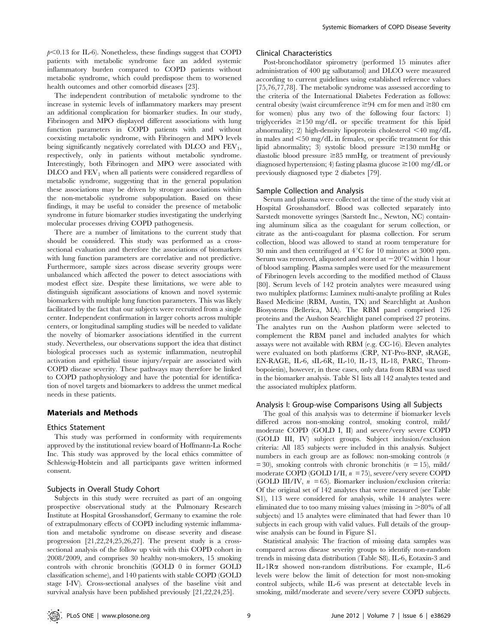$p<0.13$  for IL-6). Nonetheless, these findings suggest that COPD patients with metabolic syndrome face an added systemic inflammatory burden compared to COPD patients without metabolic syndrome, which could predispose them to worsened health outcomes and other comorbid diseases [23].

The independent contribution of metabolic syndrome to the increase in systemic levels of inflammatory markers may present an additional complication for biomarker studies. In our study, Fibrinogen and MPO displayed different associations with lung function parameters in COPD patients with and without coexisting metabolic syndrome, with Fibrinogen and MPO levels being significantly negatively correlated with DLCO and  $FEV<sub>1</sub>$ , respectively, only in patients without metabolic syndrome. Interestingly, both Fibrinogen and MPO were associated with  $D<sub>LO</sub>$  and  $FEV<sub>1</sub>$  when all patients were considered regardless of metabolic syndrome, suggesting that in the general population these associations may be driven by stronger associations within the non-metabolic syndrome subpopulation. Based on these findings, it may be useful to consider the presence of metabolic syndrome in future biomarker studies investigating the underlying molecular processes driving COPD pathogenesis.

There are a number of limitations to the current study that should be considered. This study was performed as a crosssectional evaluation and therefore the associations of biomarkers with lung function parameters are correlative and not predictive. Furthermore, sample sizes across disease severity groups were unbalanced which affected the power to detect associations with modest effect size. Despite these limitations, we were able to distinguish significant associations of known and novel systemic biomarkers with multiple lung function parameters. This was likely facilitated by the fact that our subjects were recruited from a single center. Independent confirmation in larger cohorts across multiple centers, or longitudinal sampling studies will be needed to validate the novelty of biomarker associations identified in the current study. Nevertheless, our observations support the idea that distinct biological processes such as systemic inflammation, neutrophil activation and epithelial tissue injury/repair are associated with COPD disease severity. These pathways may therefore be linked to COPD pathophysiology and have the potential for identification of novel targets and biomarkers to address the unmet medical needs in these patients.

## Materials and Methods

## Ethics Statement

This study was performed in conformity with requirements approved by the institutional review board of Hoffmann-La Roche Inc. This study was approved by the local ethics committee of Schleswig-Holstein and all participants gave written informed consent.

## Subjects in Overall Study Cohort

Subjects in this study were recruited as part of an ongoing prospective observational study at the Pulmonary Research Institute at Hospital Grosshansdorf, Germany to examine the role of extrapulmonary effects of COPD including systemic inflammation and metabolic syndrome on disease severity and disease progression [21,22,24,25,26,27]. The present study is a crosssectional analysis of the follow up visit with this COPD cohort in 2008/2009, and comprises 30 healthy non-smokers, 15 smoking controls with chronic bronchitis (GOLD 0 in former GOLD classification scheme), and 140 patients with stable COPD (GOLD stage I-IV). Cross-sectional analyses of the baseline visit and survival analysis have been published previously [21,22,24,25].

## Clinical Characteristics

Post-bronchodilator spirometry (performed 15 minutes after administration of 400 µg salbutamol) and DLCO were measured according to current guidelines using established reference values [75,76,77,78]. The metabolic syndrome was assessed according to the criteria of the International Diabetes Federation as follows: central obesity (waist circumference  $\geq 94$  cm for men and  $\geq 80$  cm for women) plus any two of the following four factors: 1) triglycerides  $\geq 150$  mg/dL or specific treatment for this lipid abnormality; 2) high-density lipoprotein cholesterol  $\leq 40$  mg/dL in males and  $\leq$ 50 mg/dL in females, or specific treatment for this lipid abnormality; 3) systolic blood pressure  $\geq$ 130 mmHg or diastolic blood pressure  $\geq 85$  mmHg, or treatment of previously diagnosed hypertension; 4) fasting plasma glucose  $\geq$  100 mg/dL or previously diagnosed type 2 diabetes [79].

## Sample Collection and Analysis

Serum and plasma were collected at the time of the study visit at Hospital Grosshansdorf. Blood was collected separately into Sarstedt monovette syringes (Sarstedt Inc., Newton, NC) containing aluminum silica as the coagulant for serum collection, or citrate as the anti-coagulant for plasma collection. For serum collection, blood was allowed to stand at room temperature for 30 min and then centrifuged at  $4^{\circ}$ C for 10 minutes at 3000 rpm. Serum was removed, aliquoted and stored at  $-20^{\circ}$ C within 1 hour of blood sampling. Plasma samples were used for the measurement of Fibrinogen levels according to the modified method of Clauss [80]. Serum levels of 142 protein analytes were measured using two multiplex platforms: Luminex multi-analyte profiling at Rules Based Medicine (RBM, Austin, TX) and Searchlight at Aushon Biosystems (Bellerica, MA). The RBM panel comprised 126 proteins and the Aushon Searchlight panel comprised 27 proteins. The analytes run on the Aushon platform were selected to complement the RBM panel and included analytes for which assays were not available with RBM (e.g. CC-16). Eleven analytes were evaluated on both platforms (CRP, NT-Pro-BNP, sRAGE, EN-RAGE, IL-6, sIL-6R, IL-10, IL-13, IL-18, PARC, Thrombopoietin), however, in these cases, only data from RBM was used in the biomarker analysis. Table S1 lists all 142 analytes tested and the associated multiplex platform.

#### Analysis I: Group-wise Comparisons Using all Subjects

The goal of this analysis was to determine if biomarker levels differed across non-smoking control, smoking control, mild/ moderate COPD (GOLD I, II) and severe/very severe COPD (GOLD III, IV) subject groups. Subject inclusion/exclusion criteria: All 185 subjects were included in this analysis. Subject numbers in each group are as follows: non-smoking controls (n  $= 30$ , smoking controls with chronic bronchitis ( $n = 15$ ), mild/ moderate COPD (GOLD I/II,  $n = 75$ ), severe/very severe COPD (GOLD III/IV,  $n = 65$ ). Biomarker inclusion/exclusion criteria: Of the original set of 142 analytes that were measured (see Table S1), 113 were considered for analysis, while 14 analytes were eliminated due to too many missing values (missing in  $>80\%$  of all subjects) and 15 analytes were eliminated that had fewer than 10 subjects in each group with valid values. Full details of the groupwise analysis can be found in Figure S1.

Statistical analysis: The fraction of missing data samples was compared across disease severity groups to identify non-random trends in missing data distribution (Table S8). IL-6, Eotaxin-3 and IL-1Ra showed non-random distributions. For example, IL-6 levels were below the limit of detection for most non-smoking control subjects, while IL-6 was present at detectable levels in smoking, mild/moderate and severe/very severe COPD subjects.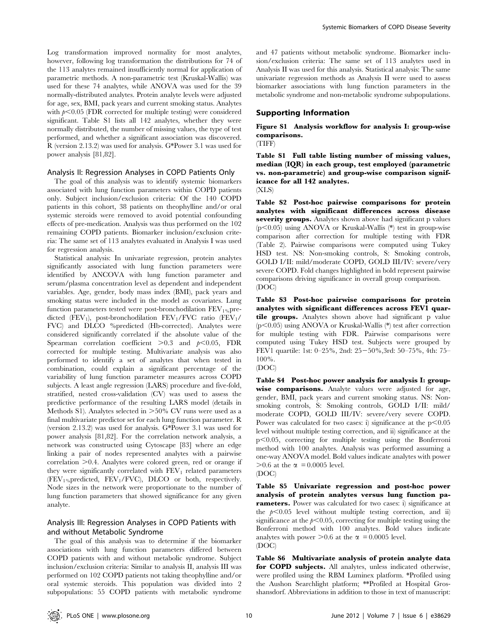Log transformation improved normality for most analytes, however, following log transformation the distributions for 74 of the 113 analytes remained insufficiently normal for application of parametric methods. A non-parametric test (Kruskal-Wallis) was used for these 74 analytes, while ANOVA was used for the 39 normally-distributed analytes. Protein analyte levels were adjusted for age, sex, BMI, pack years and current smoking status. Analytes with  $p<0.05$  (FDR corrected for multiple testing) were considered significant. Table S1 lists all 142 analytes, whether they were normally distributed, the number of missing values, the type of test performed, and whether a significant association was discovered. R (version 2.13.2) was used for analysis. G\*Power 3.1 was used for power analysis [81,82].

## Analysis II: Regression Analyses in COPD Patients Only

The goal of this analysis was to identify systemic biomarkers associated with lung function parameters within COPD patients only. Subject inclusion/exclusion criteria: Of the 140 COPD patients in this cohort, 38 patients on theophylline and/or oral systemic steroids were removed to avoid potential confounding effects of pre-medication. Analysis was thus performed on the 102 remaining COPD patients. Biomarker inclusion/exclusion criteria: The same set of 113 analytes evaluated in Analysis I was used for regression analysis.

Statistical analysis: In univariate regression, protein analytes significantly associated with lung function parameters were identified by ANCOVA with lung function parameter and serum/plasma concentration level as dependent and independent variables. Age, gender, body mass index (BMI), pack years and smoking status were included in the model as covariates. Lung function parameters tested were post-bronchodilation  $FEV_{1%}$ predicted (FEV<sub>1</sub>), post-bronchodilation FEV<sub>1</sub>/FVC ratio (FEV<sub>1</sub>/ FVC) and DLCO %predicted (Hb-corrected). Analytes were considered significantly correlated if the absolute value of the Spearman correlation coefficient  $>0.3$  and  $p<0.05$ , FDR corrected for multiple testing. Multivariate analysis was also performed to identify a set of analytes that when tested in combination, could explain a significant percentage of the variability of lung function parameter measures across COPD subjects. A least angle regression (LARS) procedure and five-fold, stratified, nested cross-validation (CV) was used to assess the predictive performance of the resulting LARS model (details in Methods S1). Analytes selected in  $>50\%$  CV runs were used as a final multivariate predictor set for each lung function parameter. R (version 2.13.2) was used for analysis. G\*Power 3.1 was used for power analysis [81,82]. For the correlation network analysis, a network was constructed using Cytoscape [83] where an edge linking a pair of nodes represented analytes with a pairwise  $correlation >0.4$ . Analytes were colored green, red or orange if they were significantly correlated with  $FEV<sub>1</sub>$  related parameters (FEV1%predicted, FEV1/FVC), DLCO or both, respectively. Node sizes in the network were proportionate to the number of lung function parameters that showed significance for any given analyte.

# Analysis III: Regression Analyses in COPD Patients with and without Metabolic Syndrome

The goal of this analysis was to determine if the biomarker associations with lung function parameters differed between COPD patients with and without metabolic syndrome. Subject inclusion/exclusion criteria: Similar to analysis II, analysis III was performed on 102 COPD patients not taking theophylline and/or oral systemic steroids. This population was divided into 2 subpopulations: 55 COPD patients with metabolic syndrome

and 47 patients without metabolic syndrome. Biomarker inclusion/exclusion criteria: The same set of 113 analytes used in Analysis II was used for this analysis. Statistical analysis: The same univariate regression methods as Analysis II were used to assess biomarker associations with lung function parameters in the metabolic syndrome and non-metabolic syndrome subpopulations.

## Supporting Information

Figure S1 Analysis workflow for analysis I: group-wise comparisons.

(TIFF)

Table S1 Full table listing number of missing values, median (IQR) in each group, test employed (parametric vs. non-parametric) and group-wise comparison significance for all 142 analytes. (XLS)

Table S2 Post-hoc pairwise comparisons for protein analytes with significant differences across disease severity groups. Analytes shown above had significant p values  $(p<0.05)$  using ANOVA or Kruskal-Wallis (\*) test in group-wise comparison after correction for multiple testing with FDR (Table 2). Pairwise comparisons were computed using Tukey HSD test. NS: Non-smoking controls, S: Smoking controls, GOLD I/II: mild/moderate COPD, GOLD III/IV: severe/very severe COPD. Fold changes highlighted in bold represent pairwise comparisons driving significance in overall group comparison. (DOC)

Table S3 Post-hoc pairwise comparisons for protein analytes with significant differences across FEV1 quartile groups. Analytes shown above had significant p value  $(p<0.05)$  using ANOVA or Kruskal-Wallis (\*) test after correction for multiple testing with FDR. Pairwise comparisons were computed using Tukey HSD test. Subjects were grouped by FEV1 quartile: 1st: 0-25%, 2nd: 25-50%,3rd: 50-75%, 4th: 75-100%.

Table S4 Post-hoc power analysis for analysis I: groupwise comparisons. Analyte values were adjusted for age, gender, BMI, pack years and current smoking status. NS: Nonsmoking controls, S: Smoking controls, GOLD I/II: mild/ moderate COPD, GOLD III/IV: severe/very severe COPD. Power was calculated for two cases: i) significance at the  $p<0.05$ level without multiple testing correction, and ii) significance at the  $p<0.05$ , correcting for multiple testing using the Bonferroni method with 100 analytes. Analysis was performed assuming a one-way ANOVA model. Bold values indicate analytes with power  $>0.6$  at the  $\alpha$  = 0.0005 level.

(DOC)

Table S5 Univariate regression and post-hoc power analysis of protein analytes versus lung function parameters. Power was calculated for two cases: i) significance at the  $p<0.05$  level without multiple testing correction, and ii) significance at the  $p<0.05$ , correcting for multiple testing using the Bonferroni method with 100 analytes. Bold values indicate analytes with power  $>0.6$  at the  $\alpha$  = 0.0005 level. (DOC)

Table S6 Multivariate analysis of protein analyte data for COPD subjects. All analytes, unless indicated otherwise, were profiled using the RBM Luminex platform. \*Profiled using the Aushon Searchlight platform; \*\*Profiled at Hospital Grosshansdorf. Abbreviations in addition to those in text of manuscript:

<sup>(</sup>DOC)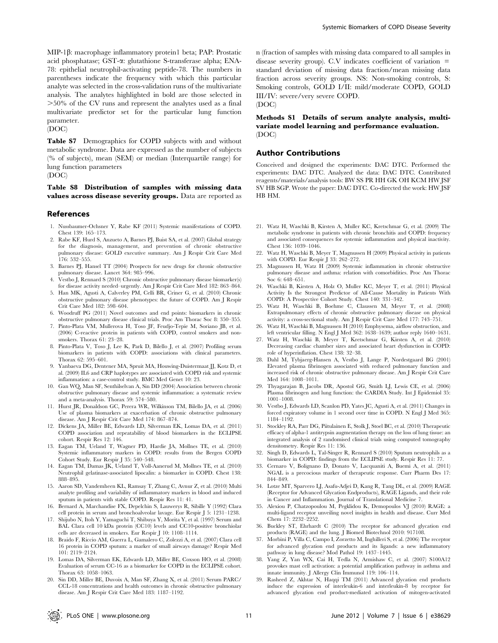MIP-1b: macrophage inflammatory protein1 beta; PAP: Prostatic acid phosphatase; GST-a: glutathione S-transferase alpha; ENA-78: epithelial neutrophil-activating peptide-78. The numbers in parentheses indicate the frequency with which this particular analyte was selected in the cross-validation runs of the multivariate analysis. The analytes highlighted in bold are those selected in  $>50\%$  of the CV runs and represent the analytes used as a final multivariate predictor set for the particular lung function parameter.

(DOC)

Table S7 Demographics for COPD subjects with and without metabolic syndrome. Data are expressed as the number of subjects (% of subjects), mean (SEM) or median (Interquartile range) for lung function parameters (DOC)

Table S8 Distribution of samples with missing data values across disease severity groups. Data are reported as

## References

- 1. Nussbaumer-Ochsner Y, Rabe KF (2011) Systemic manifestations of COPD. Chest 139: 165–173.
- 2. Rabe KF, Hurd S, Anzueto A, Barnes PJ, Buist SA, et al. (2007) Global strategy for the diagnosis, management, and prevention of chronic obstructive pulmonary disease: GOLD executive summary. Am J Respir Crit Care Med 176: 532–555.
- 3. Barnes PJ, Hansel TT (2004) Prospects for new drugs for chronic obstructive pulmonary disease. Lancet 364: 985–996.
- 4. Vestbo J, Rennard S (2010) Chronic obstructive pulmonary disease biomarker(s) for disease activity needed–urgently. Am J Respir Crit Care Med 182: 863–864.
- 5. Han MK, Agusti A, Calverley PM, Celli BR, Criner G, et al. (2010) Chronic obstructive pulmonary disease phenotypes: the future of COPD. Am J Respir Crit Care Med 182: 598–604.
- 6. Woodruff PG (2011) Novel outcomes and end points: biomarkers in chronic obstructive pulmonary disease clinical trials. Proc Am Thorac Soc 8: 350–355.
- 7. Pinto-Plata VM, Mullerova H, Toso JF, Feudjo-Tepie M, Soriano JB, et al. (2006) C-reactive protein in patients with COPD, control smokers and nonsmokers. Thorax 61: 23–28.
- 8. Pinto-Plata V, Toso J, Lee K, Park D, Bilello J, et al. (2007) Profiling serum biomarkers in patients with COPD: associations with clinical parameters. Thorax 62: 595–601.
- 9. Yanbaeva DG, Dentener MA, Spruit MA, Houwing-Duistermaat JJ, Kotz D, et al. (2009) IL6 and CRP haplotypes are associated with COPD risk and systemic inflammation: a case-control study. BMC Med Genet 10: 23.
- 10. Gan WQ, Man SF, Senthilselvan A, Sin DD (2004) Association between chronic obstructive pulmonary disease and systemic inflammation: a systematic review and a meta-analysis. Thorax 59: 574–580.
- 11. Hurst JR, Donaldson GC, Perera WR, Wilkinson TM, Bilello JA, et al. (2006) Use of plasma biomarkers at exacerbation of chronic obstructive pulmonary disease. Am J Respir Crit Care Med 174: 867–874.
- 12. Dickens JA, Miller BE, Edwards LD, Silverman EK, Lomas DA, et al. (2011) COPD association and repeatability of blood biomarkers in the ECLIPSE cohort. Respir Res 12: 146.
- 13. Eagan TM, Ueland T, Wagner PD, Hardie JA, Mollnes TE, et al. (2010) Systemic inflammatory markers in COPD: results from the Bergen COPD Cohort Study. Eur Respir J 35: 540–548.
- 14. Eagan TM, Damas JK, Ueland T, Voll-Aanerud M, Mollnes TE, et al. (2010) Neutrophil gelatinase-associated lipocalin: a biomarker in COPD. Chest 138: 888–895.
- 15. Aaron SD, Vandemheen KL, Ramsay T, Zhang C, Avnur Z, et al. (2010) Multi analyte profiling and variability of inflammatory markers in blood and induced sputum in patients with stable COPD. Respir Res 11: 41.
- 16. Bernard A, Marchandise FX, Depelchin S, Lauwerys R, Sibille Y (1992) Clara cell protein in serum and bronchoalveolar lavage. Eur Respir J 5: 1231–1238.
- 17. Shijubo N, Itoh Y, Yamaguchi T, Shibuya Y, Morita Y, et al. (1997) Serum and BAL Clara cell 10 kDa protein (CC10) levels and CC10-positive bronchiolar cells are decreased in smokers. Eur Respir J 10: 1108–1114.
- 18. Braido F, Riccio AM, Guerra L, Gamalero C, Zolezzi A, et al. (2007) Clara cell 16 protein in COPD sputum: a marker of small airways damage? Respir Med 101: 2119–2124.
- 19. Lomas DA, Silverman EK, Edwards LD, Miller BE, Coxson HO, et al. (2008) Evaluation of serum CC-16 as a biomarker for COPD in the ECLIPSE cohort. Thorax 63: 1058–1063.
- 20. Sin DD, Miller BE, Duvoix A, Man SF, Zhang X, et al. (2011) Serum PARC/ CCL-18 concentrations and health outcomes in chronic obstructive pulmonary disease. Am J Respir Crit Care Med 183: 1187–1192.

n (fraction of samples with missing data compared to all samples in disease severity group). C.V indicates coefficient of variation  $=$ standard deviation of missing data fraction/mean missing data fraction across severity groups. NS: Non-smoking controls, S: Smoking controls, GOLD I/II: mild/moderate COPD, GOLD III/IV: severe/very severe COPD.

(DOC)

Methods S1 Details of serum analyte analysis, multivariate model learning and performance evaluation. (DOC)

## Author Contributions

Conceived and designed the experiments: DAC DTC. Performed the experiments: DAC DTC. Analyzed the data: DAC DTC. Contributed reagents/materials/analysis tools: BW SS PR HH GK OH KCM HW JSF SV HB SGP. Wrote the paper: DAC DTC. Co-directed the work: HW JSF HB HM.

- 21. Watz H, Waschki B, Kirsten A, Muller KC, Kretschmar G, et al. (2009) The metabolic syndrome in patients with chronic bronchitis and COPD: frequency and associated consequences for systemic inflammation and physical inactivity. Chest 136: 1039–1046.
- 22. Watz H, Waschki B, Meyer T, Magnussen H (2009) Physical activity in patients with COPD. Eur Respir J 33: 262–272.
- 23. Magnussen H, Watz H (2009) Systemic inflammation in chronic obstructive pulmonary disease and asthma: relation with comorbidities. Proc Am Thorac Soc 6: 648–651.
- 24. Waschki B, Kirsten A, Holz O, Muller KC, Meyer T, et al. (2011) Physical Activity Is the Strongest Predictor of All-Cause Mortality in Patients With COPD: A Prospective Cohort Study. Chest 140: 331–342.
- 25. Watz H, Waschki B, Boehme C, Claussen M, Meyer T, et al. (2008) Extrapulmonary effects of chronic obstructive pulmonary disease on physical activity: a cross-sectional study. Am J Respir Crit Care Med 177: 743–751.
- 26. Watz H, Waschki B, Magnussen H (2010) Emphysema, airflow obstruction, and left ventricular filling. N Engl J Med 362: 1638–1639; author reply 1640–1631.
- 27. Watz H, Waschki B, Meyer T, Kretschmar G, Kirsten A, et al. (2010) Decreasing cardiac chamber sizes and associated heart dysfunction in COPD: role of hyperinflation. Chest 138: 32–38.
- 28. Dahl M, Tybjaerg-Hansen A, Vestbo J, Lange P, Nordestgaard BG (2001) Elevated plasma fibrinogen associated with reduced pulmonary function and increased risk of chronic obstructive pulmonary disease. Am J Respir Crit Care Med 164: 1008–1011.
- 29. Thyagarajan B, Jacobs DR, Apostol GG, Smith LJ, Lewis CE, et al. (2006) Plasma fibrinogen and lung function: the CARDIA Study. Int J Epidemiol 35: 1001–1008.
- 30. Vestbo J, Edwards LD, Scanlon PD, Yates JC, Agusti A, et al. (2011) Changes in forced expiratory volume in 1 second over time in COPD. N Engl J Med 365: 1184–1192.
- 31. Stockley RA, Parr DG, Piitulainen E, Stolk J, Stoel BC, et al. (2010) Therapeutic efficacy of alpha-1 antitrypsin augmentation therapy on the loss of lung tissue: an integrated analysis of 2 randomised clinical trials using computed tomography densitometry. Respir Res 11: 136.
- 32. Singh D, Edwards L, Tal-Singer R, Rennard S (2010) Sputum neutrophils as a biomarker in COPD: findings from the ECLIPSE study. Respir Res 11: 77.
- 33. Cernaro V, Bolignano D, Donato V, Lacquaniti A, Buemi A, et al. (2011) NGAL is a precocious marker of therapeutic response. Curr Pharm Des 17: 844–849.
- 34. Lotze MT, Sparvero LJ, Asafu-Adjei D, Kang R, Tang DL, et al. (2009) RAGE (Receptor for Advanced Glycation Endproducts), RAGE Ligands, and their role in Cancer and Inflammation. Journal of Translational Medicine 7.
- 35. Alexiou P, Chatzopoulou M, Pegklidou K, Demopoulos VJ (2010) RAGE: a multi-ligand receptor unveiling novel insights in health and disease. Curr Med Chem 17: 2232–2252.
- 36. Buckley ST, Ehrhardt C (2010) The receptor for advanced glycation end products (RAGE) and the lung. J Biomed Biotechnol 2010: 917108.
- 37. Morbini P, Villa C, Campo I, Zorzetto M, Inghilleri S, et al. (2006) The receptor for advanced glycation end products and its ligands: a new inflammatory pathway in lung disease? Mod Pathol 19: 1437–1445.
- 38. Yang Z, Yan WX, Cai H, Tedla N, Armishaw C, et al. (2007) S100A12 provokes mast cell activation: a potential amplification pathway in asthma and innate immunity. J Allergy Clin Immunol 119: 106–114.
- 39. Rasheed Z, Akhtar N, Haqqi TM (2011) Advanced glycation end products induce the expression of interleukin-6 and interleukin-8 by receptor for advanced glycation end product-mediated activation of mitogen-activated